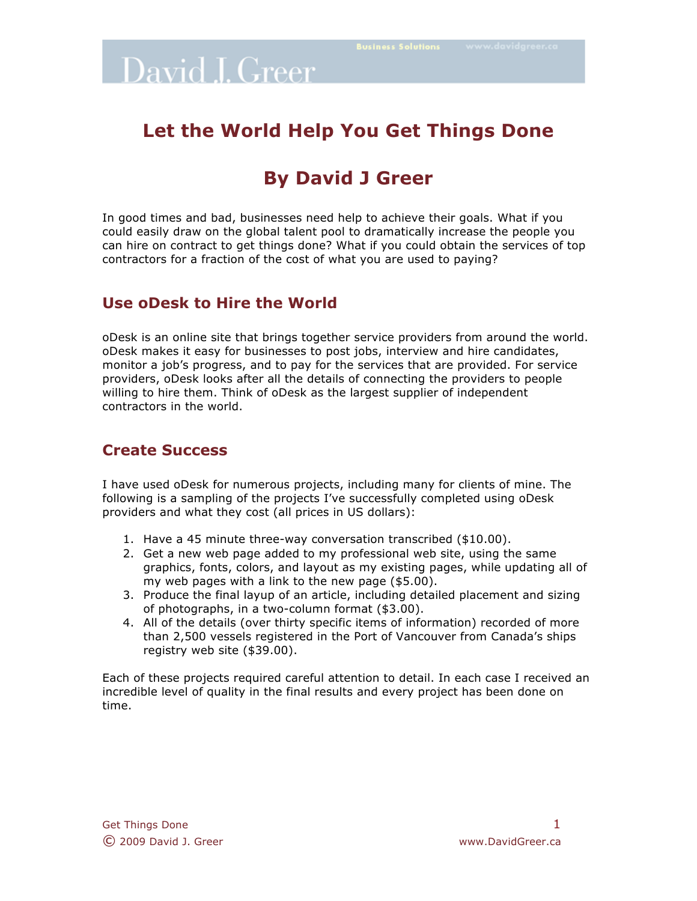### **Let the World Help You Get Things Done**

### **By David J Greer**

In good times and bad, businesses need help to achieve their goals. What if you could easily draw on the global talent pool to dramatically increase the people you can hire on contract to get things done? What if you could obtain the services of top contractors for a fraction of the cost of what you are used to paying?

#### **Use oDesk to Hire the World**

oDesk is an online site that brings together service providers from around the world. oDesk makes it easy for businesses to post jobs, interview and hire candidates, monitor a job's progress, and to pay for the services that are provided. For service providers, oDesk looks after all the details of connecting the providers to people willing to hire them. Think of oDesk as the largest supplier of independent contractors in the world.

### **Create Success**

I have used oDesk for numerous projects, including many for clients of mine. The following is a sampling of the projects I've successfully completed using oDesk providers and what they cost (all prices in US dollars):

- 1. Have a 45 minute three-way conversation transcribed (\$10.00).
- 2. Get a new web page added to my professional web site, using the same graphics, fonts, colors, and layout as my existing pages, while updating all of my web pages with a link to the new page (\$5.00).
- 3. Produce the final layup of an article, including detailed placement and sizing of photographs, in a two-column format (\$3.00).
- 4. All of the details (over thirty specific items of information) recorded of more than 2,500 vessels registered in the Port of Vancouver from Canada's ships registry web site (\$39.00).

Each of these projects required careful attention to detail. In each case I received an incredible level of quality in the final results and every project has been done on time.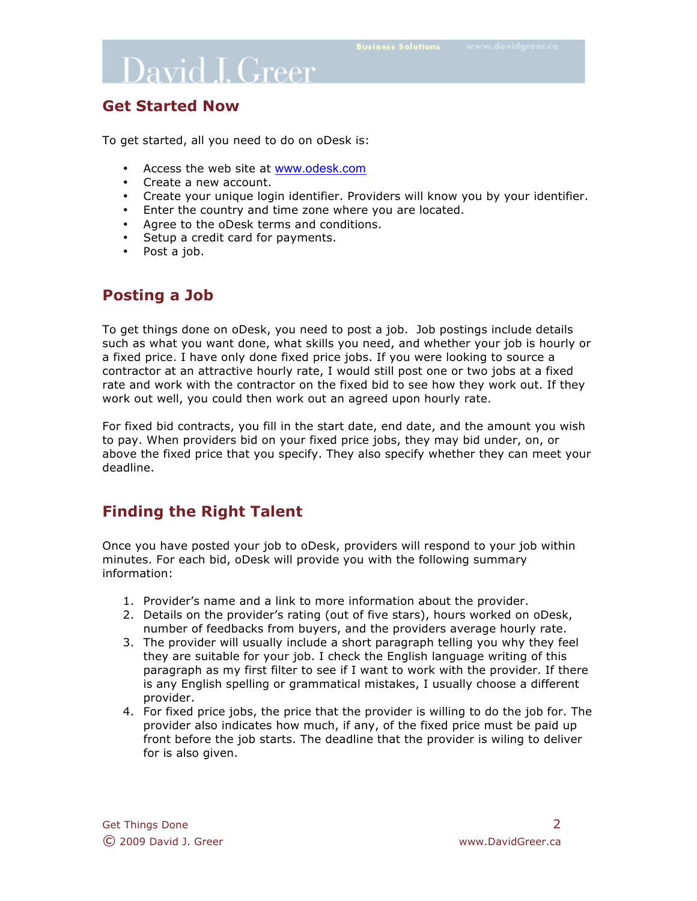#### **Get Started Now**

To get started, all you need to do on oDesk is:

- Access the web site at www.odesk.com
- Create a new account.
- Create your unique login identifier. Providers will know you by your identifier.
- Enter the country and time zone where you are located.
- Agree to the oDesk terms and conditions.
- Setup a credit card for payments.
- Post a job.

#### **Posting a Job**

To get things done on oDesk, you need to post a job. Job postings include details such as what you want done, what skills you need, and whether your job is hourly or a fixed price. I have only done fixed price jobs. If you were looking to source a contractor at an attractive hourly rate, I would still post one or two jobs at a fixed rate and work with the contractor on the fixed bid to see how they work out. If they work out well, you could then work out an agreed upon hourly rate.

For fixed bid contracts, you fill in the start date, end date, and the amount you wish to pay. When providers bid on your fixed price jobs, they may bid under, on, or above the fixed price that you specify. They also specify whether they can meet your deadline.

### **Finding the Right Talent**

Once you have posted your job to oDesk, providers will respond to your job within minutes. For each bid, oDesk will provide you with the following summary information:

- 1. Provider's name and a link to more information about the provider.
- 2. Details on the provider's rating (out of five stars), hours worked on oDesk, number of feedbacks from buyers, and the providers average hourly rate.
- 3. The provider will usually include a short paragraph telling you why they feel they are suitable for your job. I check the English language writing of this paragraph as my first filter to see if I want to work with the provider. If there is any English spelling or grammatical mistakes, I usually choose a different provider.
- 4. For fixed price jobs, the price that the provider is willing to do the job for. The provider also indicates how much, if any, of the fixed price must be paid up front before the job starts. The deadline that the provider is wiling to deliver for is also given.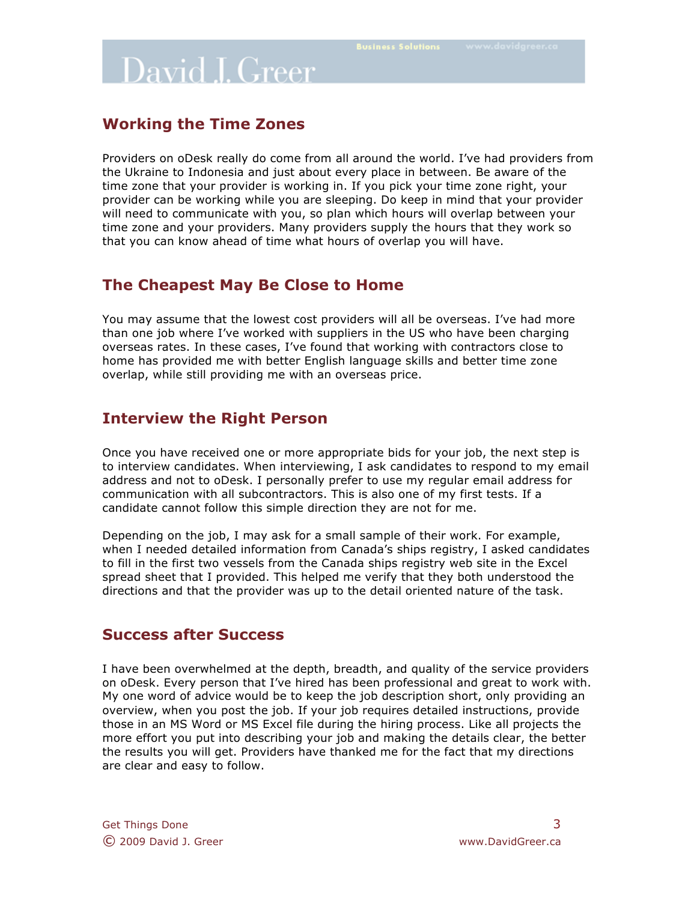### **Working the Time Zones**

Providers on oDesk really do come from all around the world. I've had providers from the Ukraine to Indonesia and just about every place in between. Be aware of the time zone that your provider is working in. If you pick your time zone right, your provider can be working while you are sleeping. Do keep in mind that your provider will need to communicate with you, so plan which hours will overlap between your time zone and your providers. Many providers supply the hours that they work so that you can know ahead of time what hours of overlap you will have.

### **The Cheapest May Be Close to Home**

You may assume that the lowest cost providers will all be overseas. I've had more than one job where I've worked with suppliers in the US who have been charging overseas rates. In these cases, I've found that working with contractors close to home has provided me with better English language skills and better time zone overlap, while still providing me with an overseas price.

### **Interview the Right Person**

Once you have received one or more appropriate bids for your job, the next step is to interview candidates. When interviewing, I ask candidates to respond to my email address and not to oDesk. I personally prefer to use my regular email address for communication with all subcontractors. This is also one of my first tests. If a candidate cannot follow this simple direction they are not for me.

Depending on the job, I may ask for a small sample of their work. For example, when I needed detailed information from Canada's ships registry, I asked candidates to fill in the first two vessels from the Canada ships registry web site in the Excel spread sheet that I provided. This helped me verify that they both understood the directions and that the provider was up to the detail oriented nature of the task.

### **Success after Success**

I have been overwhelmed at the depth, breadth, and quality of the service providers on oDesk. Every person that I've hired has been professional and great to work with. My one word of advice would be to keep the job description short, only providing an overview, when you post the job. If your job requires detailed instructions, provide those in an MS Word or MS Excel file during the hiring process. Like all projects the more effort you put into describing your job and making the details clear, the better the results you will get. Providers have thanked me for the fact that my directions are clear and easy to follow.